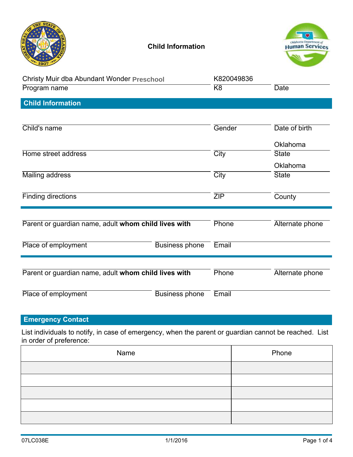|                                                      | <b>Child Information</b> |            | Oklahoma Department of |
|------------------------------------------------------|--------------------------|------------|------------------------|
| Christy Muir dba Abundant Wonder Preschool           |                          | K820049836 |                        |
| Program name                                         |                          | K8         | <b>Date</b>            |
| <b>Child Information</b>                             |                          |            |                        |
| Child's name                                         |                          | Gender     | Date of birth          |
|                                                      |                          |            | Oklahoma               |
| Home street address                                  |                          | City       | <b>State</b>           |
|                                                      |                          |            | Oklahoma               |
| <b>Mailing address</b>                               |                          | City       | <b>State</b>           |
| <b>Finding directions</b>                            |                          | ZIP        | County                 |
| Parent or guardian name, adult whom child lives with |                          | Phone      | Alternate phone        |
| Place of employment                                  | <b>Business phone</b>    | Email      |                        |
| Parent or guardian name, adult whom child lives with |                          | Phone      | Alternate phone        |
| Place of employment                                  | <b>Business phone</b>    | Email      |                        |

## Emergency Contact

| Place of employment      | <b>Business phone</b><br>Email                                                                        |             |
|--------------------------|-------------------------------------------------------------------------------------------------------|-------------|
| <b>Emergency Contact</b> |                                                                                                       |             |
| in order of preference:  | List individuals to notify, in case of emergency, when the parent or guardian cannot be reached. List |             |
|                          | Name                                                                                                  | Phone       |
|                          |                                                                                                       |             |
|                          |                                                                                                       |             |
|                          |                                                                                                       |             |
|                          |                                                                                                       |             |
|                          |                                                                                                       |             |
| 07LC038E                 | 1/1/2016                                                                                              | Page 1 of 4 |
|                          |                                                                                                       |             |
|                          |                                                                                                       |             |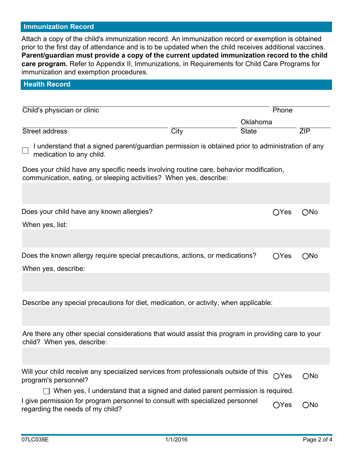### Immunization Record

Attach a copy of the child's immunization record. An immunization record or exemption is obtained prior to the first day of attendance and is to be updated when the child receives additional vaccines. Parent/guardian must provide a copy of the current updated immunization record to the child care program. Refer to Appendix II, Immunizations, in Requirements for Child Care Programs for immunization and exemption procedures.

| <b>Health Record</b>                                                                                                                                         |             |              |                |               |                          |
|--------------------------------------------------------------------------------------------------------------------------------------------------------------|-------------|--------------|----------------|---------------|--------------------------|
|                                                                                                                                                              |             |              |                |               |                          |
| Child's physician or clinic                                                                                                                                  |             |              | Phone          |               |                          |
|                                                                                                                                                              |             | Oklahoma     |                |               |                          |
| Street address                                                                                                                                               | <b>City</b> | <b>State</b> |                | ZIP           |                          |
| I understand that a signed parent/guardian permission is obtained prior to administration of any<br>medication to any child.                                 |             |              |                |               |                          |
| Does your child have any specific needs involving routine care, behavior modification,<br>communication, eating, or sleeping activities? When yes, describe: |             |              |                |               |                          |
|                                                                                                                                                              |             |              |                |               |                          |
| Does your child have any known allergies?                                                                                                                    |             |              | $\bigcirc$ Yes | $\bigcirc$ No | $\left( \bullet \right)$ |
| When yes, list:                                                                                                                                              |             |              |                |               |                          |
|                                                                                                                                                              |             |              |                |               |                          |
| Does the known allergy require special precautions, actions, or medications?                                                                                 |             |              | OYes           | ONo           | $\odot$                  |
| When yes, describe:                                                                                                                                          |             |              |                |               |                          |
|                                                                                                                                                              |             |              |                |               |                          |
| Describe any special precautions for diet, medication, or activity, when applicable:                                                                         |             |              |                |               |                          |
|                                                                                                                                                              |             |              |                |               |                          |
| Are there any other special considerations that would assist this program in providing care to your<br>child? When yes, describe:                            |             |              |                |               |                          |
|                                                                                                                                                              |             |              |                |               |                          |
| Will your child receive any specialized services from professionals outside of this<br>program's personnel?                                                  |             |              | ○Yes           | $\bigcirc$ No | $\odot$                  |
| $\Box$ When yes, I understand that a signed and dated parent permission is required.                                                                         |             |              |                |               |                          |
| I give permission for program personnel to consult with specialized personnel<br>regarding the needs of my child?                                            |             |              | OYes           | $ONo$ $\odot$ |                          |
|                                                                                                                                                              |             |              |                |               |                          |
| 07LC038E                                                                                                                                                     | 1/1/2016    |              |                | Page 2 of 4   |                          |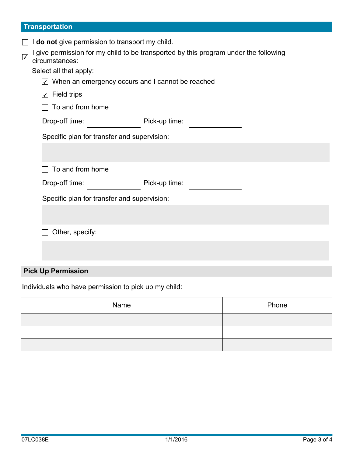## **Transportation**

| do not give permission to transport my child.                           |                                                                                      |
|-------------------------------------------------------------------------|--------------------------------------------------------------------------------------|
| $\sqrt{}$<br>circumstances:                                             | I give permission for my child to be transported by this program under the following |
| Select all that apply:                                                  |                                                                                      |
| $\sqrt{2}$ When an emergency occurs and I cannot be reached             |                                                                                      |
| <b>Field trips</b><br>$\vert \hspace{0.5pt} \cdot \hspace{0.5pt} \vert$ |                                                                                      |
| To and from home                                                        |                                                                                      |
| Drop-off time:                                                          | Pick-up time:                                                                        |
| Specific plan for transfer and supervision:                             |                                                                                      |
|                                                                         |                                                                                      |
| To and from home                                                        |                                                                                      |
| Drop-off time:                                                          | Pick-up time:                                                                        |
| Specific plan for transfer and supervision:                             |                                                                                      |
|                                                                         |                                                                                      |
| Other, specify:                                                         |                                                                                      |
|                                                                         |                                                                                      |
|                                                                         |                                                                                      |
|                                                                         |                                                                                      |

# Pick Up Permission

Individuals who have permission to pick up my child:

|          | Name     | Phone       |
|----------|----------|-------------|
|          |          |             |
|          |          |             |
|          |          |             |
|          |          |             |
|          |          |             |
|          |          |             |
|          |          |             |
|          |          |             |
| 07LC038E | 1/1/2016 | Page 3 of 4 |
|          |          |             |